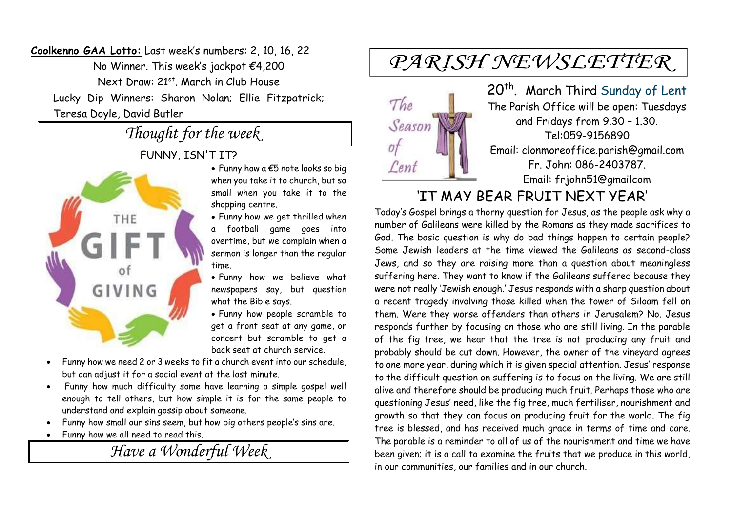**Coolkenno GAA Lotto:** Last week's numbers: 2, 10, 16, 22 No Winner. This week's jackpot €4,200 Next Draw: 21<sup>st</sup>. March in Club House Lucky Dip Winners: Sharon Nolan; Ellie Fitzpatrick; Teresa Doyle, David Butler

#### *Thought for the week*

#### FUNNY, ISN'T IT?



- Funny how a €5 note looks so big when you take it to church, but so small when you take it to the shopping centre.
- Funny how we get thrilled when a football game goes into overtime, but we complain when a sermon is longer than the regular time.
- Funny how we believe what newspapers say, but question what the Bible says.
- Funny how people scramble to get a front seat at any game, or concert but scramble to get a back seat at church service.
- Funny how we need 2 or 3 weeks to fit a church event into our schedule, but can adjust it for a social event at the last minute.
- Funny how much difficulty some have learning a simple gospel well enough to tell others, but how simple it is for the same people to understand and explain gossip about someone.
- Funny how small our sins seem, but how big others people's sins are.
- Funny how we all need to read this.

*Have a Wonderful Week* 

# PARISH NEWSLETTER



20<sup>th</sup>. March Third Sunday of Lent The Parish Office will be open: Tuesdays and Fridays from 9.30 – 1.30. Tel:059-9156890 Email: clonmoreoffice.parish@gmail.com Fr. John: 086-2403787. Email: frjohn51@gmailcom

#### 'IT MAY BEAR FRUIT NEXT YEAR'

Today's Gospel brings a thorny question for Jesus, as the people ask why a number of Galileans were killed by the Romans as they made sacrifices to God. The basic question is why do bad things happen to certain people? Some Jewish leaders at the time viewed the Galileans as second-class Jews, and so they are raising more than a question about meaningless suffering here. They want to know if the Galileans suffered because they were not really 'Jewish enough.' Jesus responds with a sharp question about a recent tragedy involving those killed when the tower of Siloam fell on them. Were they worse offenders than others in Jerusalem? No. Jesus responds further by focusing on those who are still living. In the parable of the fig tree, we hear that the tree is not producing any fruit and probably should be cut down. However, the owner of the vineyard agrees to one more year, during which it is given special attention. Jesus' response to the difficult question on suffering is to focus on the living. We are still alive and therefore should be producing much fruit. Perhaps those who are questioning Jesus' need, like the fig tree, much fertiliser, nourishment and growth so that they can focus on producing fruit for the world. The fig tree is blessed, and has received much grace in terms of time and care. The parable is a reminder to all of us of the nourishment and time we have been given; it is a call to examine the fruits that we produce in this world, in our communities, our families and in our church.